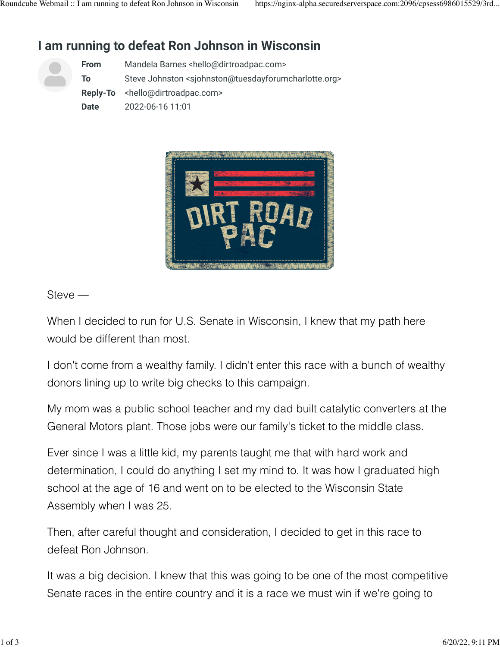# **I am running to defeat Ron Johnson in Wisconsin**

| <b>From</b> | Mandela Barnes <hello@dirtroadpac.com></hello@dirtroadpac.com>                             |
|-------------|--------------------------------------------------------------------------------------------|
| To          | Steve Johnston <sjohnston@tuesdayforumcharlotte.org></sjohnston@tuesdayforumcharlotte.org> |
|             | <b>Reply-To</b> <hello@dirtroadpac.com></hello@dirtroadpac.com>                            |
| Date        | 2022-06-16 11:01                                                                           |



#### Steve —

When I decided to run for U.S. Senate in Wisconsin, I knew that my path here would be different than most.

I don't come from a wealthy family. I didn't enter this race with a bunch of wealthy donors lining up to write big checks to this campaign.

My mom was a public school teacher and my dad built catalytic converters at the General Motors plant. Those jobs were our family's ticket to the middle class.

Ever since I was a little kid, my parents taught me that with hard work and determination, I could do anything I set my mind to. It was how I graduated high school at the age of 16 and went on to be elected to the Wisconsin State Assembly when I was 25.

Then, after careful thought and consideration, I decided to get in this race to defeat Ron Johnson.

It was a big decision. I knew that this was going to be one of the most competitive Senate races in the entire country and it is a race we must win if we're going to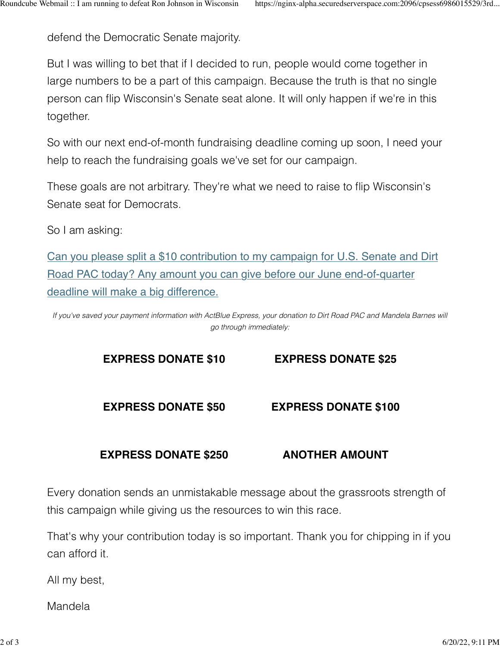defend the Democratic Senate majority.

But I was willing to bet that if I decided to run, people would come together in large numbers to be a part of this campaign. Because the truth is that no single person can flip Wisconsin's Senate seat alone. It will only happen if we're in this together.

So with our next end-of-month fundraising deadline coming up soon, I need your help to reach the fundraising goals we've set for our campaign.

These goals are not arbitrary. They're what we need to raise to flip Wisconsin's Senate seat for Democrats.

So I am asking:

[Can you please split a \\$10 contribution to my campaign for U.S. Senate and Dirt](https://click.ngpvan.com/k/46590701/350926593/-496875832?refcode=AU_DRP_FR_TAN_GEN_AC_20220616_AM1_V1_S1&nvep=ew0KICAiVGVuYW50VXJpIjogIm5ncHZhbjovL3Zhbi9OR1AvTkdQNTIvMS85MDYwMSIsDQogICJEaXN0cmlidXRpb25VbmlxdWVJZCI6ICJhMWE3ZWZmZC04NGVkLWVjMTEtYjQ3YS0yODE4NzhiODNkOGEiLA0KICAiRW1haWxBZGRyZXNzIjogInNqb2huc3RvbkB0dWVzZGF5Zm9ydW1jaGFybG90dGUub3JnIg0KfQ%3D%3D&hmac=R64J9zj1dmQ2BwDE6-lnPpaJ0b3xJ8JLdrIRXT4xbFA=) [Road PAC today? Any amount you can give before our June end-of-quarter](https://click.ngpvan.com/k/46590701/350926593/-496875832?refcode=AU_DRP_FR_TAN_GEN_AC_20220616_AM1_V1_S1&nvep=ew0KICAiVGVuYW50VXJpIjogIm5ncHZhbjovL3Zhbi9OR1AvTkdQNTIvMS85MDYwMSIsDQogICJEaXN0cmlidXRpb25VbmlxdWVJZCI6ICJhMWE3ZWZmZC04NGVkLWVjMTEtYjQ3YS0yODE4NzhiODNkOGEiLA0KICAiRW1haWxBZGRyZXNzIjogInNqb2huc3RvbkB0dWVzZGF5Zm9ydW1jaGFybG90dGUub3JnIg0KfQ%3D%3D&hmac=R64J9zj1dmQ2BwDE6-lnPpaJ0b3xJ8JLdrIRXT4xbFA=) [deadline will make a big difference.](https://click.ngpvan.com/k/46590701/350926593/-496875832?refcode=AU_DRP_FR_TAN_GEN_AC_20220616_AM1_V1_S1&nvep=ew0KICAiVGVuYW50VXJpIjogIm5ncHZhbjovL3Zhbi9OR1AvTkdQNTIvMS85MDYwMSIsDQogICJEaXN0cmlidXRpb25VbmlxdWVJZCI6ICJhMWE3ZWZmZC04NGVkLWVjMTEtYjQ3YS0yODE4NzhiODNkOGEiLA0KICAiRW1haWxBZGRyZXNzIjogInNqb2huc3RvbkB0dWVzZGF5Zm9ydW1jaGFybG90dGUub3JnIg0KfQ%3D%3D&hmac=R64J9zj1dmQ2BwDE6-lnPpaJ0b3xJ8JLdrIRXT4xbFA=)

*If you've saved your payment information with ActBlue Express, your donation to Dirt Road PAC and Mandela Barnes will go through immediately:*

## **[EXPRESS DONATE \\$10](https://click.ngpvan.com/k/46590702/350926594/-496875832?express_lane=true&amount=10&refcode=AU_DRP_FR_TAN_GEN_AC_20220616_AM1_V1_S1&nvep=ew0KICAiVGVuYW50VXJpIjogIm5ncHZhbjovL3Zhbi9OR1AvTkdQNTIvMS85MDYwMSIsDQogICJEaXN0cmlidXRpb25VbmlxdWVJZCI6ICJhMWE3ZWZmZC04NGVkLWVjMTEtYjQ3YS0yODE4NzhiODNkOGEiLA0KICAiRW1haWxBZGRyZXNzIjogInNqb2huc3RvbkB0dWVzZGF5Zm9ydW1jaGFybG90dGUub3JnIg0KfQ%3D%3D&hmac=R64J9zj1dmQ2BwDE6-lnPpaJ0b3xJ8JLdrIRXT4xbFA=) [EXPRESS DONATE \\$25](https://click.ngpvan.com/k/46590703/350926622/-496875832?express_lane=true&amount=25&refcode=AU_DRP_FR_TAN_GEN_AC_20220616_AM1_V1_S1&nvep=ew0KICAiVGVuYW50VXJpIjogIm5ncHZhbjovL3Zhbi9OR1AvTkdQNTIvMS85MDYwMSIsDQogICJEaXN0cmlidXRpb25VbmlxdWVJZCI6ICJhMWE3ZWZmZC04NGVkLWVjMTEtYjQ3YS0yODE4NzhiODNkOGEiLA0KICAiRW1haWxBZGRyZXNzIjogInNqb2huc3RvbkB0dWVzZGF5Zm9ydW1jaGFybG90dGUub3JnIg0KfQ%3D%3D&hmac=R64J9zj1dmQ2BwDE6-lnPpaJ0b3xJ8JLdrIRXT4xbFA=)**

#### **[EXPRESS DONATE \\$50](https://click.ngpvan.com/k/46590704/350926623/-496875832?express_lane=true&amount=50&refcode=AU_DRP_FR_TAN_GEN_AC_20220616_AM1_V1_S1&nvep=ew0KICAiVGVuYW50VXJpIjogIm5ncHZhbjovL3Zhbi9OR1AvTkdQNTIvMS85MDYwMSIsDQogICJEaXN0cmlidXRpb25VbmlxdWVJZCI6ICJhMWE3ZWZmZC04NGVkLWVjMTEtYjQ3YS0yODE4NzhiODNkOGEiLA0KICAiRW1haWxBZGRyZXNzIjogInNqb2huc3RvbkB0dWVzZGF5Zm9ydW1jaGFybG90dGUub3JnIg0KfQ%3D%3D&hmac=R64J9zj1dmQ2BwDE6-lnPpaJ0b3xJ8JLdrIRXT4xbFA=) [EXPRESS DONATE \\$100](https://click.ngpvan.com/k/46590705/350926624/-496875832?express_lane=true&amount=100&refcode=AU_DRP_FR_TAN_GEN_AC_20220616_AM1_V1_S1&nvep=ew0KICAiVGVuYW50VXJpIjogIm5ncHZhbjovL3Zhbi9OR1AvTkdQNTIvMS85MDYwMSIsDQogICJEaXN0cmlidXRpb25VbmlxdWVJZCI6ICJhMWE3ZWZmZC04NGVkLWVjMTEtYjQ3YS0yODE4NzhiODNkOGEiLA0KICAiRW1haWxBZGRyZXNzIjogInNqb2huc3RvbkB0dWVzZGF5Zm9ydW1jaGFybG90dGUub3JnIg0KfQ%3D%3D&hmac=R64J9zj1dmQ2BwDE6-lnPpaJ0b3xJ8JLdrIRXT4xbFA=)**

## **[EXPRESS DONATE \\$250](https://click.ngpvan.com/k/46590707/350926626/-496875832?express_lane=true&amount=250&refcode=AU_DRP_FR_TAN_GEN_AC_20220616_AM1_V1_S1&nvep=ew0KICAiVGVuYW50VXJpIjogIm5ncHZhbjovL3Zhbi9OR1AvTkdQNTIvMS85MDYwMSIsDQogICJEaXN0cmlidXRpb25VbmlxdWVJZCI6ICJhMWE3ZWZmZC04NGVkLWVjMTEtYjQ3YS0yODE4NzhiODNkOGEiLA0KICAiRW1haWxBZGRyZXNzIjogInNqb2huc3RvbkB0dWVzZGF5Zm9ydW1jaGFybG90dGUub3JnIg0KfQ%3D%3D&hmac=R64J9zj1dmQ2BwDE6-lnPpaJ0b3xJ8JLdrIRXT4xbFA=) [ANOTHER AMOUNT](https://click.ngpvan.com/k/46590709/350926628/-496875832?refcode=AU_DRP_FR_TAN_GEN_AC_20220616_AM1_V1_S1&nvep=ew0KICAiVGVuYW50VXJpIjogIm5ncHZhbjovL3Zhbi9OR1AvTkdQNTIvMS85MDYwMSIsDQogICJEaXN0cmlidXRpb25VbmlxdWVJZCI6ICJhMWE3ZWZmZC04NGVkLWVjMTEtYjQ3YS0yODE4NzhiODNkOGEiLA0KICAiRW1haWxBZGRyZXNzIjogInNqb2huc3RvbkB0dWVzZGF5Zm9ydW1jaGFybG90dGUub3JnIg0KfQ%3D%3D&hmac=R64J9zj1dmQ2BwDE6-lnPpaJ0b3xJ8JLdrIRXT4xbFA=)**

Every donation sends an unmistakable message about the grassroots strength of this campaign while giving us the resources to win this race.

That's why your contribution today is so important. Thank you for chipping in if you can afford it.

All my best,

Mandela